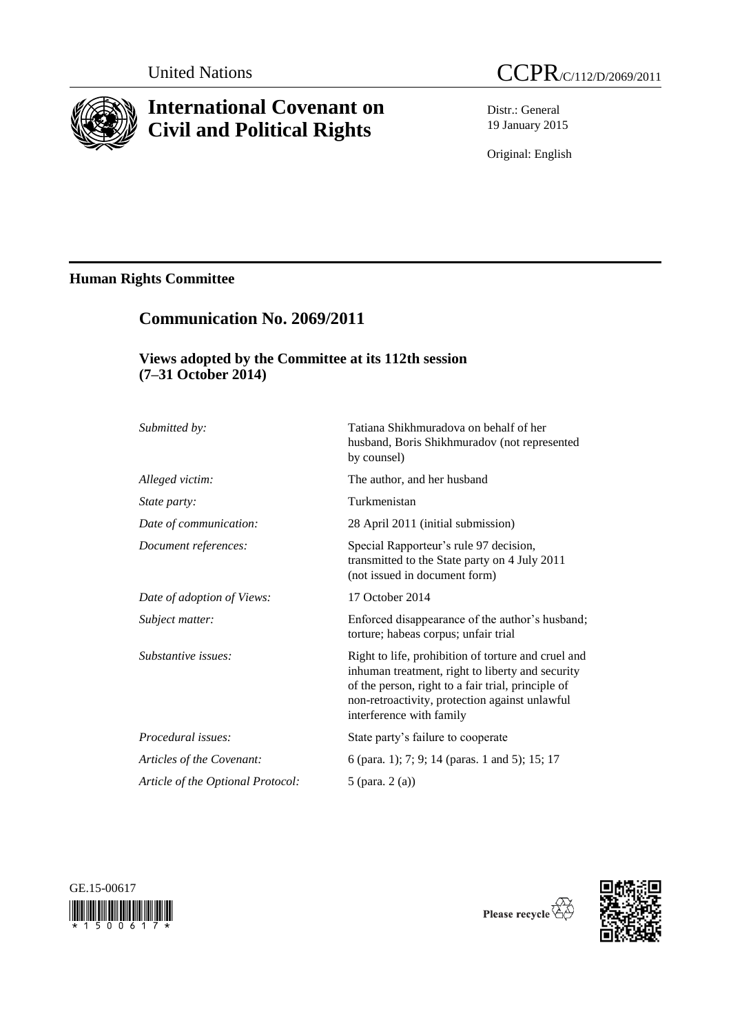

# **International Covenant on Civil and Political Rights**

**Communication No. 2069/2011**

Distr.: General 19 January 2015

Original: English

# **Human Rights Committee**

# **Views adopted by the Committee at its 112th session (7–31 October 2014)**

| Submitted by:                     | Tatiana Shikhmuradova on behalf of her<br>husband, Boris Shikhmuradov (not represented<br>by counsel)                                                                                                                                       |
|-----------------------------------|---------------------------------------------------------------------------------------------------------------------------------------------------------------------------------------------------------------------------------------------|
| Alleged victim:                   | The author, and her husband                                                                                                                                                                                                                 |
| State party:                      | Turkmenistan                                                                                                                                                                                                                                |
| Date of communication:            | 28 April 2011 (initial submission)                                                                                                                                                                                                          |
| Document references:              | Special Rapporteur's rule 97 decision,<br>transmitted to the State party on 4 July 2011<br>(not issued in document form)                                                                                                                    |
| Date of adoption of Views:        | 17 October 2014                                                                                                                                                                                                                             |
| Subject matter:                   | Enforced disappearance of the author's husband;<br>torture; habeas corpus; unfair trial                                                                                                                                                     |
| Substantive issues:               | Right to life, prohibition of torture and cruel and<br>inhuman treatment, right to liberty and security<br>of the person, right to a fair trial, principle of<br>non-retroactivity, protection against unlawful<br>interference with family |
| Procedural issues:                | State party's failure to cooperate                                                                                                                                                                                                          |
| Articles of the Covenant:         | 6 (para. 1); 7; 9; 14 (paras. 1 and 5); 15; 17                                                                                                                                                                                              |
| Article of the Optional Protocol: | 5 (para. 2 (a))                                                                                                                                                                                                                             |
|                                   |                                                                                                                                                                                                                                             |



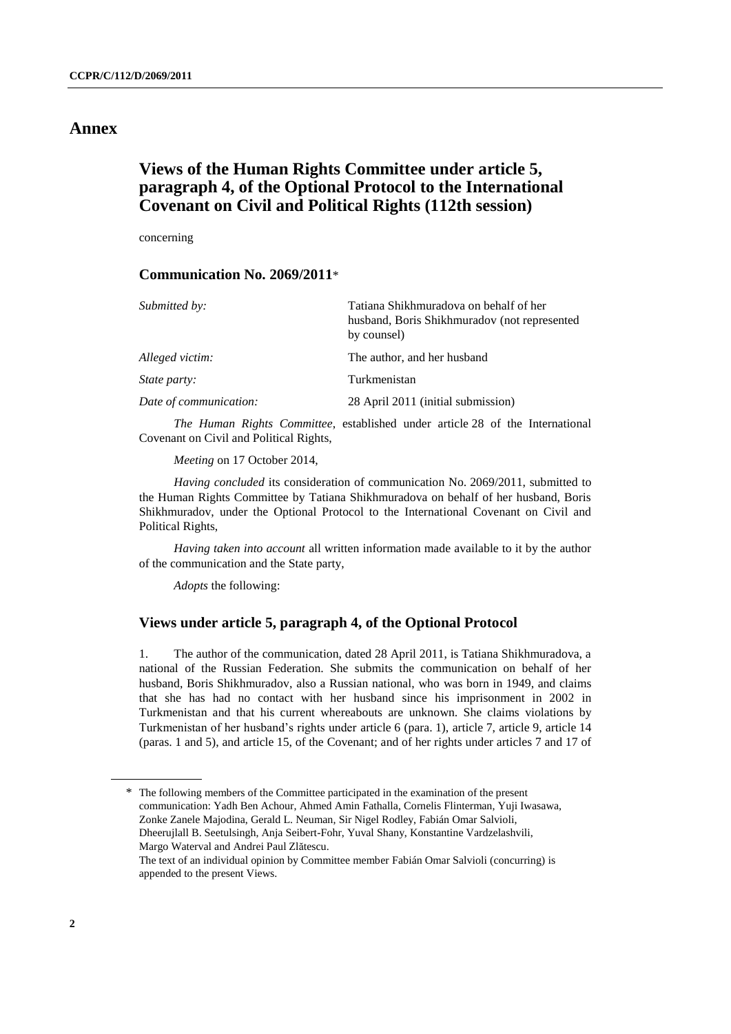## **Annex**

# **Views of the Human Rights Committee under article 5, paragraph 4, of the Optional Protocol to the International Covenant on Civil and Political Rights (112th session)**

concerning

### **Communication No. 2069/2011**\*

| Submitted by:          | Tatiana Shikhmuradova on behalf of her<br>husband, Boris Shikhmuradov (not represented<br>by counsel) |
|------------------------|-------------------------------------------------------------------------------------------------------|
| Alleged victim:        | The author, and her husband                                                                           |
| <i>State party:</i>    | Turkmenistan                                                                                          |
| Date of communication: | 28 April 2011 (initial submission)                                                                    |

*The Human Rights Committee*, established under article 28 of the International Covenant on Civil and Political Rights,

*Meeting* on 17 October 2014,

*Having concluded* its consideration of communication No. 2069/2011, submitted to the Human Rights Committee by Tatiana Shikhmuradova on behalf of her husband, Boris Shikhmuradov, under the Optional Protocol to the International Covenant on Civil and Political Rights,

*Having taken into account* all written information made available to it by the author of the communication and the State party,

*Adopts* the following:

### **Views under article 5, paragraph 4, of the Optional Protocol**

1. The author of the communication, dated 28 April 2011, is Tatiana Shikhmuradova, a national of the Russian Federation. She submits the communication on behalf of her husband, Boris Shikhmuradov, also a Russian national, who was born in 1949, and claims that she has had no contact with her husband since his imprisonment in 2002 in Turkmenistan and that his current whereabouts are unknown. She claims violations by Turkmenistan of her husband's rights under article 6 (para. 1), article 7, article 9, article 14 (paras. 1 and 5), and article 15, of the Covenant; and of her rights under articles 7 and 17 of

<sup>\*</sup> The following members of the Committee participated in the examination of the present communication: Yadh Ben Achour, Ahmed Amin Fathalla, Cornelis Flinterman, Yuji Iwasawa, Zonke Zanele Majodina, Gerald L. Neuman, Sir Nigel Rodley, Fabián Omar Salvioli, Dheerujlall B. Seetulsingh, Anja Seibert-Fohr, Yuval Shany, Konstantine Vardzelashvili, Margo Waterval and Andrei Paul Zlătescu. The text of an individual opinion by Committee member Fabián Omar Salvioli (concurring) is appended to the present Views.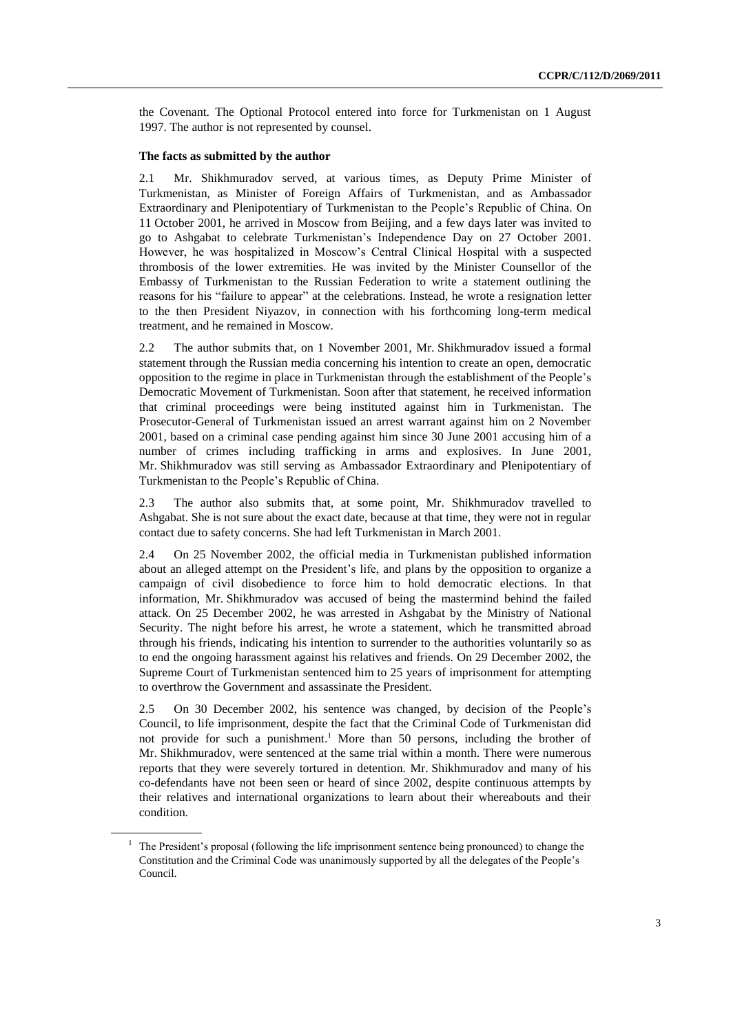the Covenant. The Optional Protocol entered into force for Turkmenistan on 1 August 1997. The author is not represented by counsel.

#### **The facts as submitted by the author**

2.1 Mr. Shikhmuradov served, at various times, as Deputy Prime Minister of Turkmenistan, as Minister of Foreign Affairs of Turkmenistan, and as Ambassador Extraordinary and Plenipotentiary of Turkmenistan to the People's Republic of China. On 11 October 2001, he arrived in Moscow from Beijing, and a few days later was invited to go to Ashgabat to celebrate Turkmenistan's Independence Day on 27 October 2001. However, he was hospitalized in Moscow's Central Clinical Hospital with a suspected thrombosis of the lower extremities. He was invited by the Minister Counsellor of the Embassy of Turkmenistan to the Russian Federation to write a statement outlining the reasons for his "failure to appear" at the celebrations. Instead, he wrote a resignation letter to the then President Niyazov, in connection with his forthcoming long-term medical treatment, and he remained in Moscow.

2.2 The author submits that, on 1 November 2001, Mr. Shikhmuradov issued a formal statement through the Russian media concerning his intention to create an open, democratic opposition to the regime in place in Turkmenistan through the establishment of the People's Democratic Movement of Turkmenistan. Soon after that statement, he received information that criminal proceedings were being instituted against him in Turkmenistan. The Prosecutor-General of Turkmenistan issued an arrest warrant against him on 2 November 2001, based on a criminal case pending against him since 30 June 2001 accusing him of a number of crimes including trafficking in arms and explosives. In June 2001, Mr. Shikhmuradov was still serving as Ambassador Extraordinary and Plenipotentiary of Turkmenistan to the People's Republic of China.

2.3 The author also submits that, at some point, Mr. Shikhmuradov travelled to Ashgabat. She is not sure about the exact date, because at that time, they were not in regular contact due to safety concerns. She had left Turkmenistan in March 2001.

2.4 On 25 November 2002, the official media in Turkmenistan published information about an alleged attempt on the President's life, and plans by the opposition to organize a campaign of civil disobedience to force him to hold democratic elections. In that information, Mr. Shikhmuradov was accused of being the mastermind behind the failed attack. On 25 December 2002, he was arrested in Ashgabat by the Ministry of National Security. The night before his arrest, he wrote a statement, which he transmitted abroad through his friends, indicating his intention to surrender to the authorities voluntarily so as to end the ongoing harassment against his relatives and friends. On 29 December 2002, the Supreme Court of Turkmenistan sentenced him to 25 years of imprisonment for attempting to overthrow the Government and assassinate the President.

2.5 On 30 December 2002, his sentence was changed, by decision of the People's Council, to life imprisonment, despite the fact that the Criminal Code of Turkmenistan did not provide for such a punishment. <sup>1</sup> More than 50 persons, including the brother of Mr. Shikhmuradov, were sentenced at the same trial within a month. There were numerous reports that they were severely tortured in detention. Mr. Shikhmuradov and many of his co-defendants have not been seen or heard of since 2002, despite continuous attempts by their relatives and international organizations to learn about their whereabouts and their condition.

<sup>&</sup>lt;sup>1</sup> The President's proposal (following the life imprisonment sentence being pronounced) to change the Constitution and the Criminal Code was unanimously supported by all the delegates of the People's Council.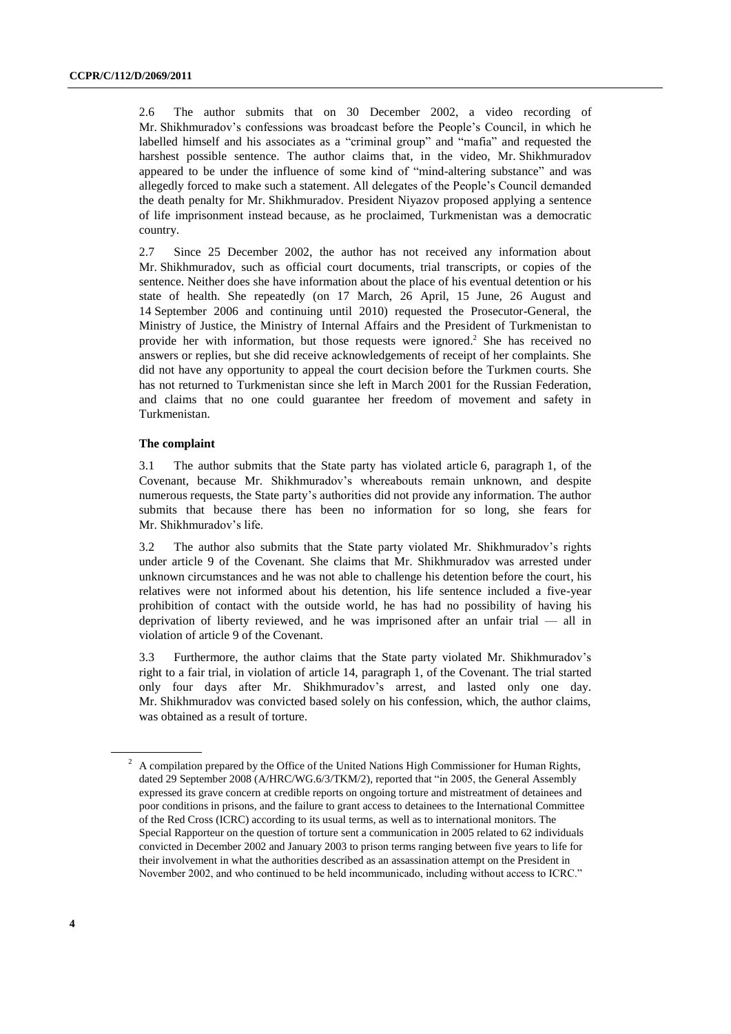2.6 The author submits that on 30 December 2002, a video recording of Mr. Shikhmuradov's confessions was broadcast before the People's Council, in which he labelled himself and his associates as a "criminal group" and "mafia" and requested the harshest possible sentence. The author claims that, in the video, Mr. Shikhmuradov appeared to be under the influence of some kind of "mind-altering substance" and was allegedly forced to make such a statement. All delegates of the People's Council demanded the death penalty for Mr. Shikhmuradov. President Niyazov proposed applying a sentence of life imprisonment instead because, as he proclaimed, Turkmenistan was a democratic country.

2.7 Since 25 December 2002, the author has not received any information about Mr. Shikhmuradov, such as official court documents, trial transcripts, or copies of the sentence. Neither does she have information about the place of his eventual detention or his state of health. She repeatedly (on 17 March, 26 April, 15 June, 26 August and 14 September 2006 and continuing until 2010) requested the Prosecutor-General, the Ministry of Justice, the Ministry of Internal Affairs and the President of Turkmenistan to provide her with information, but those requests were ignored. <sup>2</sup> She has received no answers or replies, but she did receive acknowledgements of receipt of her complaints. She did not have any opportunity to appeal the court decision before the Turkmen courts. She has not returned to Turkmenistan since she left in March 2001 for the Russian Federation, and claims that no one could guarantee her freedom of movement and safety in Turkmenistan.

#### **The complaint**

3.1 The author submits that the State party has violated article 6, paragraph 1, of the Covenant, because Mr. Shikhmuradov's whereabouts remain unknown, and despite numerous requests, the State party's authorities did not provide any information. The author submits that because there has been no information for so long, she fears for Mr. Shikhmuradov's life.

3.2 The author also submits that the State party violated Mr. Shikhmuradov's rights under article 9 of the Covenant. She claims that Mr. Shikhmuradov was arrested under unknown circumstances and he was not able to challenge his detention before the court, his relatives were not informed about his detention, his life sentence included a five-year prohibition of contact with the outside world, he has had no possibility of having his deprivation of liberty reviewed, and he was imprisoned after an unfair trial — all in violation of article 9 of the Covenant.

3.3 Furthermore, the author claims that the State party violated Mr. Shikhmuradov's right to a fair trial, in violation of article 14, paragraph 1, of the Covenant. The trial started only four days after Mr. Shikhmuradov's arrest, and lasted only one day. Mr. Shikhmuradov was convicted based solely on his confession, which, the author claims, was obtained as a result of torture.

<sup>2</sup> A compilation prepared by the Office of the United Nations High Commissioner for Human Rights, dated 29 September 2008 (A/HRC/WG.6/3/TKM/2), reported that "in 2005, the General Assembly expressed its grave concern at credible reports on ongoing torture and mistreatment of detainees and poor conditions in prisons, and the failure to grant access to detainees to the International Committee of the Red Cross (ICRC) according to its usual terms, as well as to international monitors. The Special Rapporteur on the question of torture sent a communication in 2005 related to 62 individuals convicted in December 2002 and January 2003 to prison terms ranging between five years to life for their involvement in what the authorities described as an assassination attempt on the President in November 2002, and who continued to be held incommunicado, including without access to ICRC."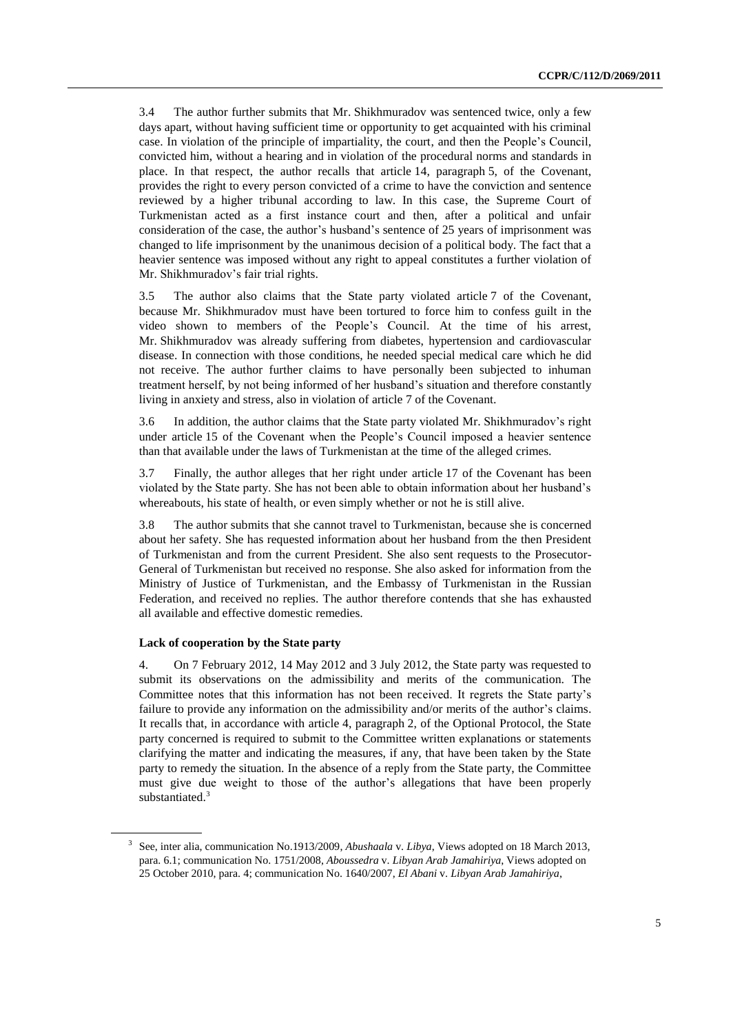3.4 The author further submits that Mr. Shikhmuradov was sentenced twice, only a few days apart, without having sufficient time or opportunity to get acquainted with his criminal case. In violation of the principle of impartiality, the court, and then the People's Council, convicted him, without a hearing and in violation of the procedural norms and standards in place. In that respect, the author recalls that article 14, paragraph 5, of the Covenant, provides the right to every person convicted of a crime to have the conviction and sentence reviewed by a higher tribunal according to law. In this case, the Supreme Court of Turkmenistan acted as a first instance court and then, after a political and unfair consideration of the case, the author's husband's sentence of 25 years of imprisonment was changed to life imprisonment by the unanimous decision of a political body. The fact that a heavier sentence was imposed without any right to appeal constitutes a further violation of Mr. Shikhmuradov's fair trial rights.

3.5 The author also claims that the State party violated article 7 of the Covenant, because Mr. Shikhmuradov must have been tortured to force him to confess guilt in the video shown to members of the People's Council. At the time of his arrest, Mr. Shikhmuradov was already suffering from diabetes, hypertension and cardiovascular disease. In connection with those conditions, he needed special medical care which he did not receive. The author further claims to have personally been subjected to inhuman treatment herself, by not being informed of her husband's situation and therefore constantly living in anxiety and stress, also in violation of article 7 of the Covenant.

3.6 In addition, the author claims that the State party violated Mr. Shikhmuradov's right under article 15 of the Covenant when the People's Council imposed a heavier sentence than that available under the laws of Turkmenistan at the time of the alleged crimes.

3.7 Finally, the author alleges that her right under article 17 of the Covenant has been violated by the State party. She has not been able to obtain information about her husband's whereabouts, his state of health, or even simply whether or not he is still alive.

3.8 The author submits that she cannot travel to Turkmenistan, because she is concerned about her safety. She has requested information about her husband from the then President of Turkmenistan and from the current President. She also sent requests to the Prosecutor-General of Turkmenistan but received no response. She also asked for information from the Ministry of Justice of Turkmenistan, and the Embassy of Turkmenistan in the Russian Federation, and received no replies. The author therefore contends that she has exhausted all available and effective domestic remedies.

#### **Lack of cooperation by the State party**

4. On 7 February 2012, 14 May 2012 and 3 July 2012, the State party was requested to submit its observations on the admissibility and merits of the communication. The Committee notes that this information has not been received. It regrets the State party's failure to provide any information on the admissibility and/or merits of the author's claims. It recalls that, in accordance with article 4, paragraph 2, of the Optional Protocol, the State party concerned is required to submit to the Committee written explanations or statements clarifying the matter and indicating the measures, if any, that have been taken by the State party to remedy the situation. In the absence of a reply from the State party, the Committee must give due weight to those of the author's allegations that have been properly substantiated.<sup>3</sup>

<sup>3</sup> See, inter alia, communication No.1913/2009, *Abushaala* v. *Libya*, Views adopted on 18 March 2013, para. 6.1; communication No. 1751/2008, *Aboussedra* v. *Libyan Arab Jamahiriya*, Views adopted on 25 October 2010, para. 4; communication No. 1640/2007, *El Abani* v. *Libyan Arab Jamahiriya*,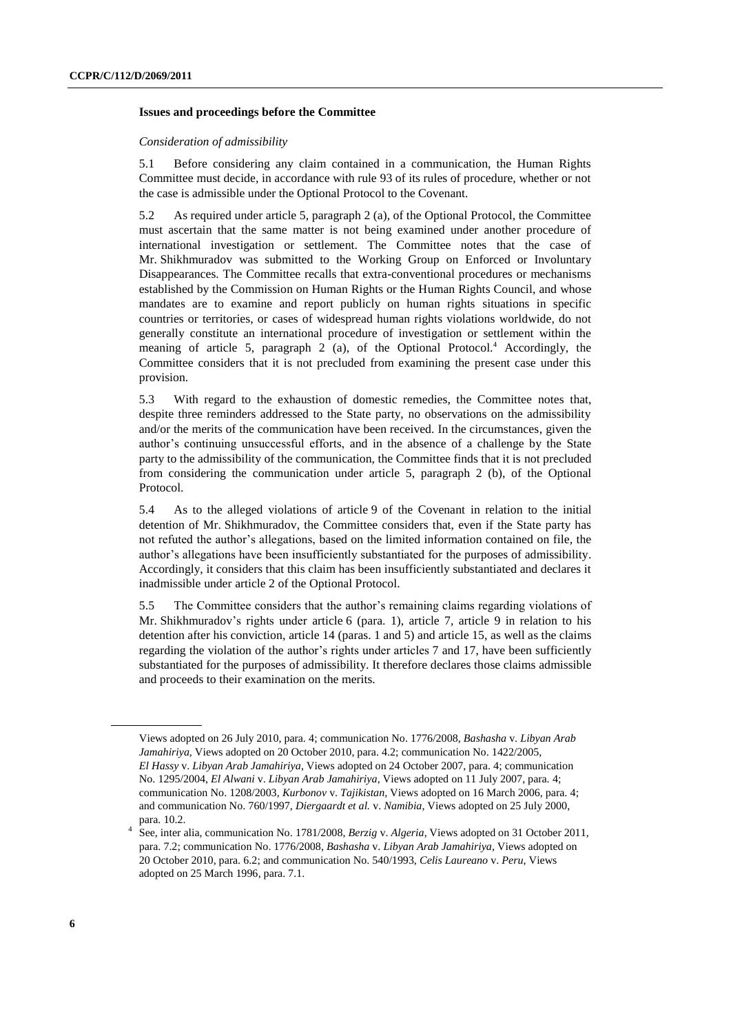#### **Issues and proceedings before the Committee**

#### *Consideration of admissibility*

5.1 Before considering any claim contained in a communication, the Human Rights Committee must decide, in accordance with rule 93 of its rules of procedure, whether or not the case is admissible under the Optional Protocol to the Covenant.

5.2 As required under article 5, paragraph 2 (a), of the Optional Protocol, the Committee must ascertain that the same matter is not being examined under another procedure of international investigation or settlement. The Committee notes that the case of Mr. Shikhmuradov was submitted to the Working Group on Enforced or Involuntary Disappearances. The Committee recalls that extra-conventional procedures or mechanisms established by the Commission on Human Rights or the Human Rights Council, and whose mandates are to examine and report publicly on human rights situations in specific countries or territories, or cases of widespread human rights violations worldwide, do not generally constitute an international procedure of investigation or settlement within the meaning of article 5, paragraph 2 (a), of the Optional Protocol.<sup>4</sup> Accordingly, the Committee considers that it is not precluded from examining the present case under this provision.

5.3 With regard to the exhaustion of domestic remedies, the Committee notes that, despite three reminders addressed to the State party, no observations on the admissibility and/or the merits of the communication have been received. In the circumstances, given the author's continuing unsuccessful efforts, and in the absence of a challenge by the State party to the admissibility of the communication, the Committee finds that it is not precluded from considering the communication under article 5, paragraph 2 (b), of the Optional Protocol.

5.4 As to the alleged violations of article 9 of the Covenant in relation to the initial detention of Mr. Shikhmuradov, the Committee considers that, even if the State party has not refuted the author's allegations, based on the limited information contained on file, the author's allegations have been insufficiently substantiated for the purposes of admissibility. Accordingly, it considers that this claim has been insufficiently substantiated and declares it inadmissible under article 2 of the Optional Protocol.

5.5 The Committee considers that the author's remaining claims regarding violations of Mr. Shikhmuradov's rights under article 6 (para. 1), article 7, article 9 in relation to his detention after his conviction, article 14 (paras. 1 and 5) and article 15, as well as the claims regarding the violation of the author's rights under articles 7 and 17, have been sufficiently substantiated for the purposes of admissibility. It therefore declares those claims admissible and proceeds to their examination on the merits.

Views adopted on 26 July 2010, para. 4; communication No. 1776/2008, *Bashasha* v. *Libyan Arab Jamahiriya*, Views adopted on 20 October 2010, para. 4.2; communication No. 1422/2005, *El Hassy* v. *Libyan Arab Jamahiriya*, Views adopted on 24 October 2007, para. 4; communication No. 1295/2004, *El Alwani* v. *Libyan Arab Jamahiriya*, Views adopted on 11 July 2007, para. 4; communication No. 1208/2003, *Kurbonov* v. *Tajikistan*, Views adopted on 16 March 2006, para. 4; and communication No. 760/1997, *Diergaardt et al.* v. *Namibia*, Views adopted on 25 July 2000, para. 10.2.

<sup>4</sup> See, inter alia, communication No. 1781/2008, *Berzig* v. *Algeria*, Views adopted on 31 October 2011, para. 7.2; communication No. 1776/2008, *Bashasha* v. *Libyan Arab Jamahiriya*, Views adopted on 20 October 2010, para. 6.2; and communication No. 540/1993, *Celis Laureano* v. *Peru*, Views adopted on 25 March 1996, para. 7.1.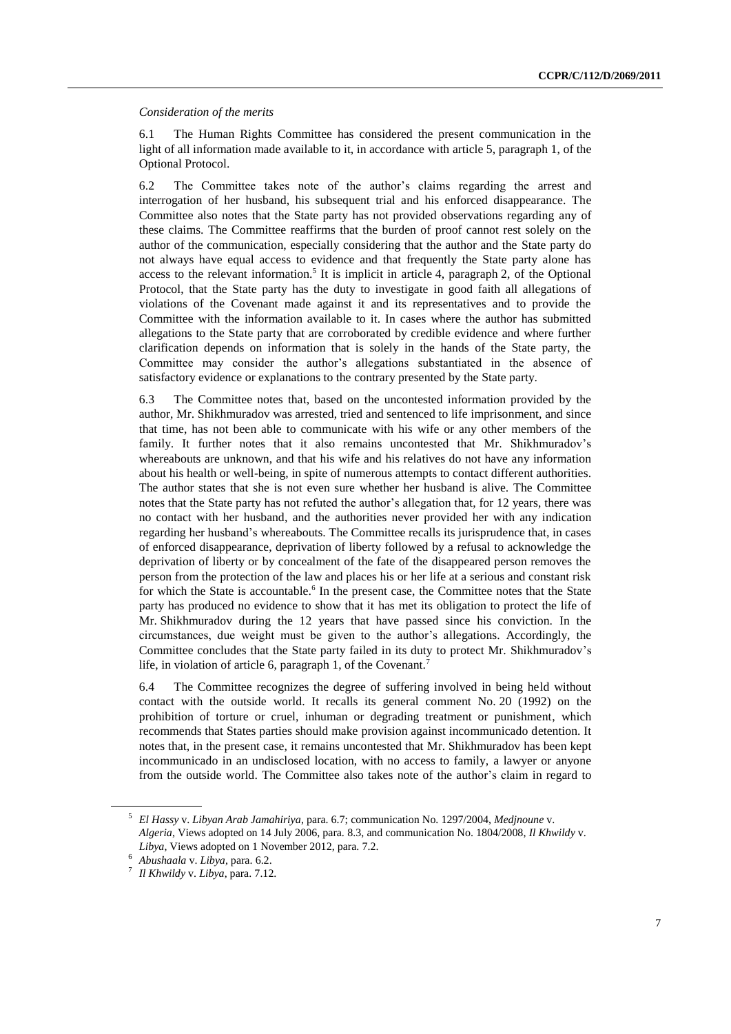#### *Consideration of the merits*

6.1 The Human Rights Committee has considered the present communication in the light of all information made available to it, in accordance with article 5, paragraph 1, of the Optional Protocol.

6.2 The Committee takes note of the author's claims regarding the arrest and interrogation of her husband, his subsequent trial and his enforced disappearance. The Committee also notes that the State party has not provided observations regarding any of these claims. The Committee reaffirms that the burden of proof cannot rest solely on the author of the communication, especially considering that the author and the State party do not always have equal access to evidence and that frequently the State party alone has access to the relevant information.<sup>5</sup> It is implicit in article 4, paragraph 2, of the Optional Protocol, that the State party has the duty to investigate in good faith all allegations of violations of the Covenant made against it and its representatives and to provide the Committee with the information available to it. In cases where the author has submitted allegations to the State party that are corroborated by credible evidence and where further clarification depends on information that is solely in the hands of the State party, the Committee may consider the author's allegations substantiated in the absence of satisfactory evidence or explanations to the contrary presented by the State party.

6.3 The Committee notes that, based on the uncontested information provided by the author, Mr. Shikhmuradov was arrested, tried and sentenced to life imprisonment, and since that time, has not been able to communicate with his wife or any other members of the family. It further notes that it also remains uncontested that Mr. Shikhmuradov's whereabouts are unknown, and that his wife and his relatives do not have any information about his health or well-being, in spite of numerous attempts to contact different authorities. The author states that she is not even sure whether her husband is alive. The Committee notes that the State party has not refuted the author's allegation that, for 12 years, there was no contact with her husband, and the authorities never provided her with any indication regarding her husband's whereabouts. The Committee recalls its jurisprudence that, in cases of enforced disappearance, deprivation of liberty followed by a refusal to acknowledge the deprivation of liberty or by concealment of the fate of the disappeared person removes the person from the protection of the law and places his or her life at a serious and constant risk for which the State is accountable.<sup>6</sup> In the present case, the Committee notes that the State party has produced no evidence to show that it has met its obligation to protect the life of Mr. Shikhmuradov during the 12 years that have passed since his conviction. In the circumstances, due weight must be given to the author's allegations. Accordingly, the Committee concludes that the State party failed in its duty to protect Mr. Shikhmuradov's life, in violation of article 6, paragraph 1, of the Covenant.<sup>7</sup>

6.4 The Committee recognizes the degree of suffering involved in being held without contact with the outside world. It recalls its general comment No. 20 (1992) on the prohibition of torture or cruel, inhuman or degrading treatment or punishment, which recommends that States parties should make provision against incommunicado detention. It notes that, in the present case, it remains uncontested that Mr. Shikhmuradov has been kept incommunicado in an undisclosed location, with no access to family, a lawyer or anyone from the outside world. The Committee also takes note of the author's claim in regard to

<sup>5</sup> *El Hassy* v. *Libyan Arab Jamahiriya*, para. 6.7; communication No. 1297/2004, *Medjnoune* v. *Algeria*, Views adopted on 14 July 2006, para. 8.3, and communication No. 1804/2008, *Il Khwildy* v. *Libya*, Views adopted on 1 November 2012, para. 7.2.

<sup>6</sup> *Abushaala* v. *Libya*, para. 6.2.

<sup>7</sup> *Il Khwildy* v. *Libya*, para. 7.12.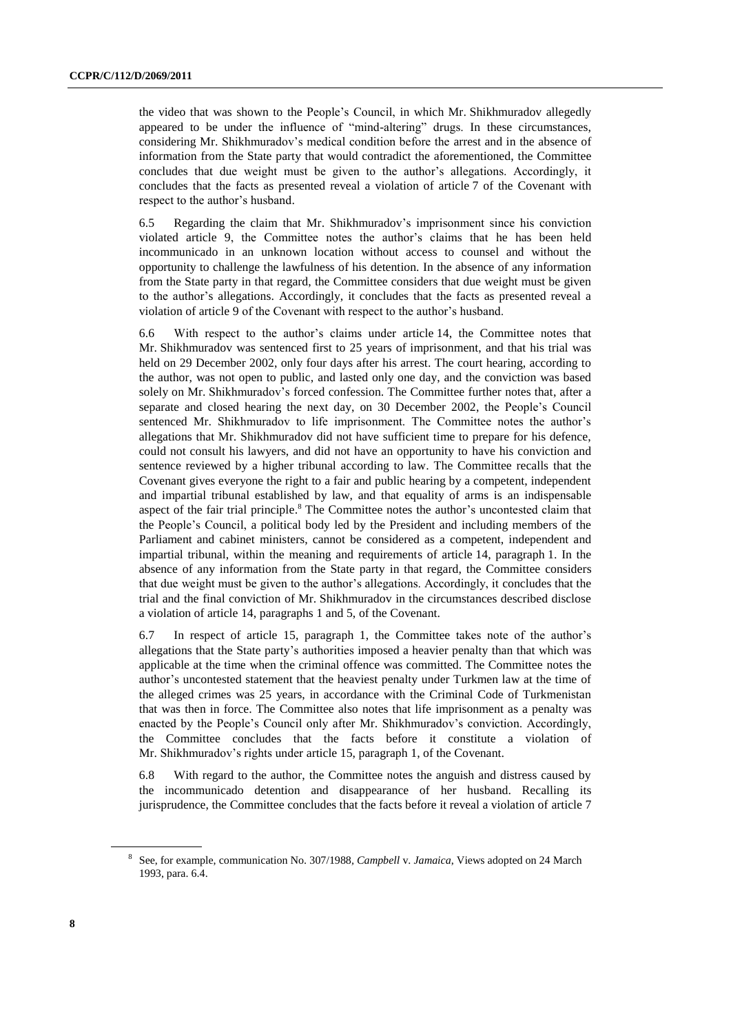the video that was shown to the People's Council, in which Mr. Shikhmuradov allegedly appeared to be under the influence of "mind-altering" drugs. In these circumstances, considering Mr. Shikhmuradov's medical condition before the arrest and in the absence of information from the State party that would contradict the aforementioned, the Committee concludes that due weight must be given to the author's allegations. Accordingly, it concludes that the facts as presented reveal a violation of article 7 of the Covenant with respect to the author's husband.

6.5 Regarding the claim that Mr. Shikhmuradov's imprisonment since his conviction violated article 9, the Committee notes the author's claims that he has been held incommunicado in an unknown location without access to counsel and without the opportunity to challenge the lawfulness of his detention. In the absence of any information from the State party in that regard, the Committee considers that due weight must be given to the author's allegations. Accordingly, it concludes that the facts as presented reveal a violation of article 9 of the Covenant with respect to the author's husband.

6.6 With respect to the author's claims under article 14, the Committee notes that Mr. Shikhmuradov was sentenced first to 25 years of imprisonment, and that his trial was held on 29 December 2002, only four days after his arrest. The court hearing, according to the author, was not open to public, and lasted only one day, and the conviction was based solely on Mr. Shikhmuradov's forced confession. The Committee further notes that, after a separate and closed hearing the next day, on 30 December 2002, the People's Council sentenced Mr. Shikhmuradov to life imprisonment. The Committee notes the author's allegations that Mr. Shikhmuradov did not have sufficient time to prepare for his defence, could not consult his lawyers, and did not have an opportunity to have his conviction and sentence reviewed by a higher tribunal according to law. The Committee recalls that the Covenant gives everyone the right to a fair and public hearing by a competent, independent and impartial tribunal established by law, and that equality of arms is an indispensable aspect of the fair trial principle.<sup>8</sup> The Committee notes the author's uncontested claim that the People's Council, a political body led by the President and including members of the Parliament and cabinet ministers, cannot be considered as a competent, independent and impartial tribunal, within the meaning and requirements of article 14, paragraph 1. In the absence of any information from the State party in that regard, the Committee considers that due weight must be given to the author's allegations. Accordingly, it concludes that the trial and the final conviction of Mr. Shikhmuradov in the circumstances described disclose a violation of article 14, paragraphs 1 and 5, of the Covenant.

6.7 In respect of article 15, paragraph 1, the Committee takes note of the author's allegations that the State party's authorities imposed a heavier penalty than that which was applicable at the time when the criminal offence was committed. The Committee notes the author's uncontested statement that the heaviest penalty under Turkmen law at the time of the alleged crimes was 25 years, in accordance with the Criminal Code of Turkmenistan that was then in force. The Committee also notes that life imprisonment as a penalty was enacted by the People's Council only after Mr. Shikhmuradov's conviction. Accordingly, the Committee concludes that the facts before it constitute a violation of Mr. Shikhmuradov's rights under article 15, paragraph 1, of the Covenant.

6.8 With regard to the author, the Committee notes the anguish and distress caused by the incommunicado detention and disappearance of her husband. Recalling its jurisprudence, the Committee concludes that the facts before it reveal a violation of article 7

<sup>8</sup> See, for example, communication No. 307/1988*, Campbell* v. *Jamaica*, Views adopted on 24 March 1993, para. 6.4.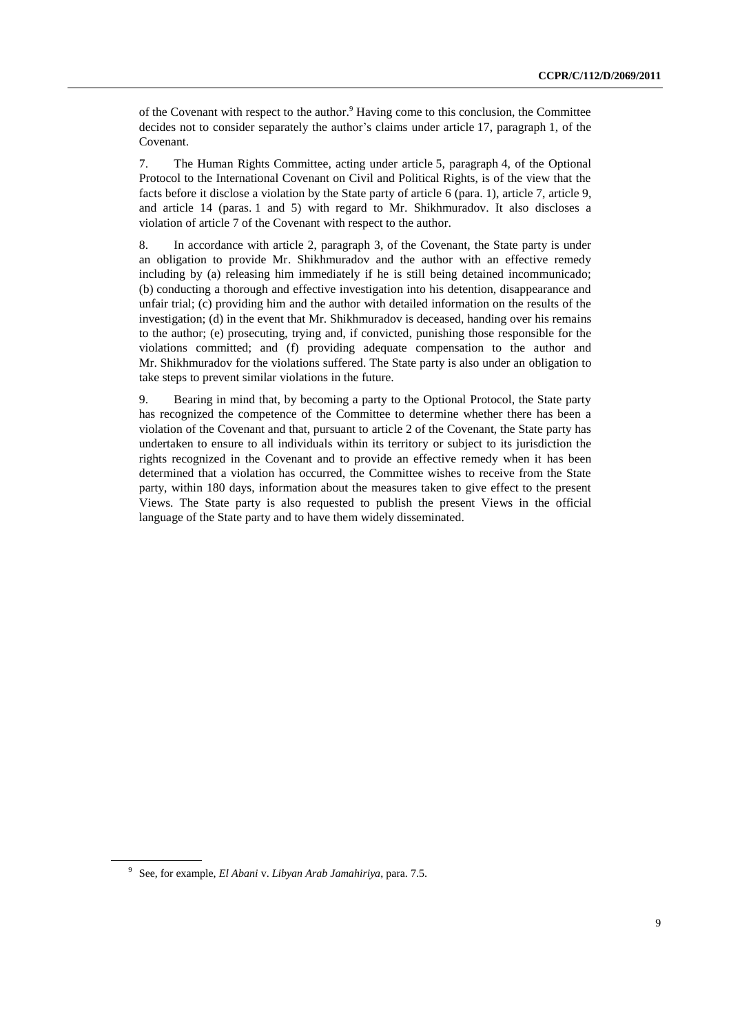of the Covenant with respect to the author.<sup>9</sup> Having come to this conclusion, the Committee decides not to consider separately the author's claims under article 17, paragraph 1, of the Covenant.

7. The Human Rights Committee, acting under article 5, paragraph 4, of the Optional Protocol to the International Covenant on Civil and Political Rights, is of the view that the facts before it disclose a violation by the State party of article 6 (para. 1), article 7, article 9, and article 14 (paras. 1 and 5) with regard to Mr. Shikhmuradov. It also discloses a violation of article 7 of the Covenant with respect to the author.

8. In accordance with article 2, paragraph 3, of the Covenant, the State party is under an obligation to provide Mr. Shikhmuradov and the author with an effective remedy including by (a) releasing him immediately if he is still being detained incommunicado; (b) conducting a thorough and effective investigation into his detention, disappearance and unfair trial; (c) providing him and the author with detailed information on the results of the investigation; (d) in the event that Mr. Shikhmuradov is deceased, handing over his remains to the author; (e) prosecuting, trying and, if convicted, punishing those responsible for the violations committed; and (f) providing adequate compensation to the author and Mr. Shikhmuradov for the violations suffered. The State party is also under an obligation to take steps to prevent similar violations in the future.

9. Bearing in mind that, by becoming a party to the Optional Protocol, the State party has recognized the competence of the Committee to determine whether there has been a violation of the Covenant and that, pursuant to article 2 of the Covenant, the State party has undertaken to ensure to all individuals within its territory or subject to its jurisdiction the rights recognized in the Covenant and to provide an effective remedy when it has been determined that a violation has occurred, the Committee wishes to receive from the State party, within 180 days, information about the measures taken to give effect to the present Views. The State party is also requested to publish the present Views in the official language of the State party and to have them widely disseminated.

<sup>9</sup> See, for example, *El Abani* v. *Libyan Arab Jamahiriya*, para. 7.5.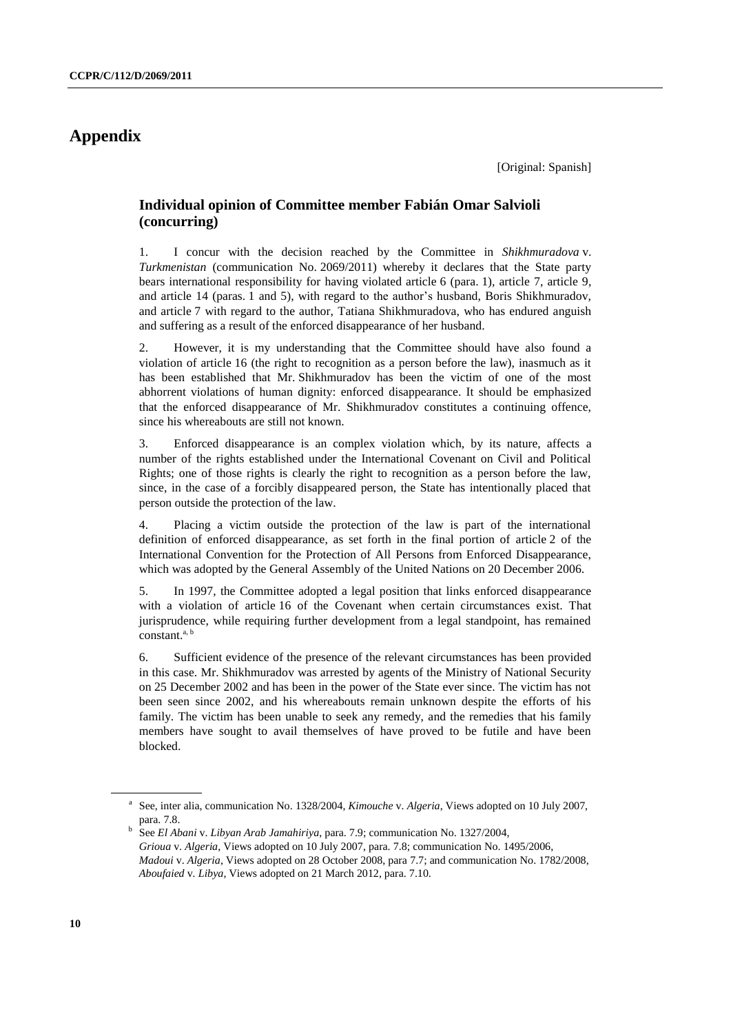# **Appendix**

## **Individual opinion of Committee member Fabián Omar Salvioli (concurring)**

1. I concur with the decision reached by the Committee in *Shikhmuradova* v. *Turkmenistan* (communication No. 2069/2011) whereby it declares that the State party bears international responsibility for having violated article 6 (para. 1), article 7, article 9, and article 14 (paras. 1 and 5), with regard to the author's husband, Boris Shikhmuradov, and article 7 with regard to the author, Tatiana Shikhmuradova, who has endured anguish and suffering as a result of the enforced disappearance of her husband.

2. However, it is my understanding that the Committee should have also found a violation of article 16 (the right to recognition as a person before the law), inasmuch as it has been established that Mr. Shikhmuradov has been the victim of one of the most abhorrent violations of human dignity: enforced disappearance. It should be emphasized that the enforced disappearance of Mr. Shikhmuradov constitutes a continuing offence, since his whereabouts are still not known.

3. Enforced disappearance is an complex violation which, by its nature, affects a number of the rights established under the International Covenant on Civil and Political Rights; one of those rights is clearly the right to recognition as a person before the law, since, in the case of a forcibly disappeared person, the State has intentionally placed that person outside the protection of the law.

4. Placing a victim outside the protection of the law is part of the international definition of enforced disappearance, as set forth in the final portion of article 2 of the International Convention for the Protection of All Persons from Enforced Disappearance, which was adopted by the General Assembly of the United Nations on 20 December 2006.

5. In 1997, the Committee adopted a legal position that links enforced disappearance with a violation of article 16 of the Covenant when certain circumstances exist. That jurisprudence, while requiring further development from a legal standpoint, has remained constant.<sup>a, b</sup>

6. Sufficient evidence of the presence of the relevant circumstances has been provided in this case. Mr. Shikhmuradov was arrested by agents of the Ministry of National Security on 25 December 2002 and has been in the power of the State ever since. The victim has not been seen since 2002, and his whereabouts remain unknown despite the efforts of his family. The victim has been unable to seek any remedy, and the remedies that his family members have sought to avail themselves of have proved to be futile and have been blocked.

<sup>&</sup>lt;sup>a</sup> See, inter alia, communication No. 1328/2004, *Kimouche v. Algeria*, Views adopted on 10 July 2007, para. 7.8.

b See *El Abani* v. *Libyan Arab Jamahiriya*, para. 7.9; communication No. 1327/2004, *Grioua* v. *Algeria*, Views adopted on 10 July 2007, para. 7.8; communication No. 1495/2006, *Madoui* v. *Algeria*, Views adopted on 28 October 2008, para 7.7; and communication No. 1782/2008, *Aboufaied* v*. Libya*, Views adopted on 21 March 2012, para. 7.10.